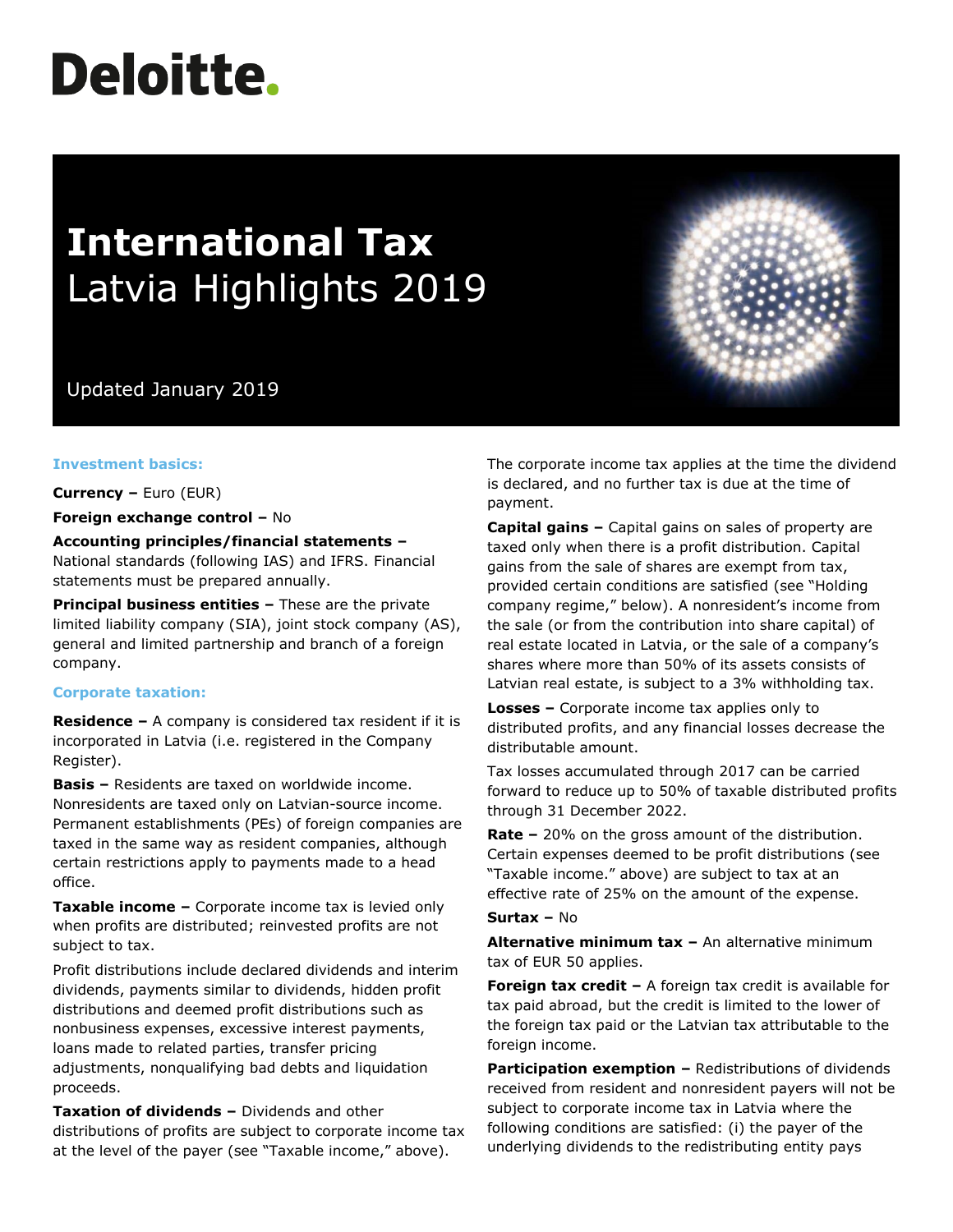# **Deloitte.**

# **International Tax** Latvia Highlights 2019

Updated January 2019

#### **Investment basics:**

**Currency –** Euro (EUR)

**Foreign exchange control –** No

**Accounting principles/financial statements –** National standards (following IAS) and IFRS. Financial statements must be prepared annually.

**Principal business entities –** These are the private limited liability company (SIA), joint stock company (AS), general and limited partnership and branch of a foreign company.

#### **Corporate taxation:**

**Residence –** A company is considered tax resident if it is incorporated in Latvia (i.e. registered in the Company Register).

**Basis –** Residents are taxed on worldwide income. Nonresidents are taxed only on Latvian-source income. Permanent establishments (PEs) of foreign companies are taxed in the same way as resident companies, although certain restrictions apply to payments made to a head office.

**Taxable income –** Corporate income tax is levied only when profits are distributed; reinvested profits are not subject to tax.

Profit distributions include declared dividends and interim dividends, payments similar to dividends, hidden profit distributions and deemed profit distributions such as nonbusiness expenses, excessive interest payments, loans made to related parties, transfer pricing adjustments, nonqualifying bad debts and liquidation proceeds.

**Taxation of dividends –** Dividends and other distributions of profits are subject to corporate income tax at the level of the payer (see "Taxable income," above).

The corporate income tax applies at the time the dividend is declared, and no further tax is due at the time of payment.

**Capital gains –** Capital gains on sales of property are taxed only when there is a profit distribution. Capital gains from the sale of shares are exempt from tax, provided certain conditions are satisfied (see "Holding company regime," below). A nonresident's income from the sale (or from the contribution into share capital) of real estate located in Latvia, or the sale of a company's shares where more than 50% of its assets consists of Latvian real estate, is subject to a 3% withholding tax.

**Losses –** Corporate income tax applies only to distributed profits, and any financial losses decrease the distributable amount.

Tax losses accumulated through 2017 can be carried forward to reduce up to 50% of taxable distributed profits through 31 December 2022.

**Rate –** 20% on the gross amount of the distribution. Certain expenses deemed to be profit distributions (see "Taxable income." above) are subject to tax at an effective rate of 25% on the amount of the expense.

#### **Surtax –** No

**Alternative minimum tax –** An alternative minimum tax of EUR 50 applies.

**Foreign tax credit -** A foreign tax credit is available for tax paid abroad, but the credit is limited to the lower of the foreign tax paid or the Latvian tax attributable to the foreign income.

**Participation exemption –** Redistributions of dividends received from resident and nonresident payers will not be subject to corporate income tax in Latvia where the following conditions are satisfied: (i) the payer of the underlying dividends to the redistributing entity pays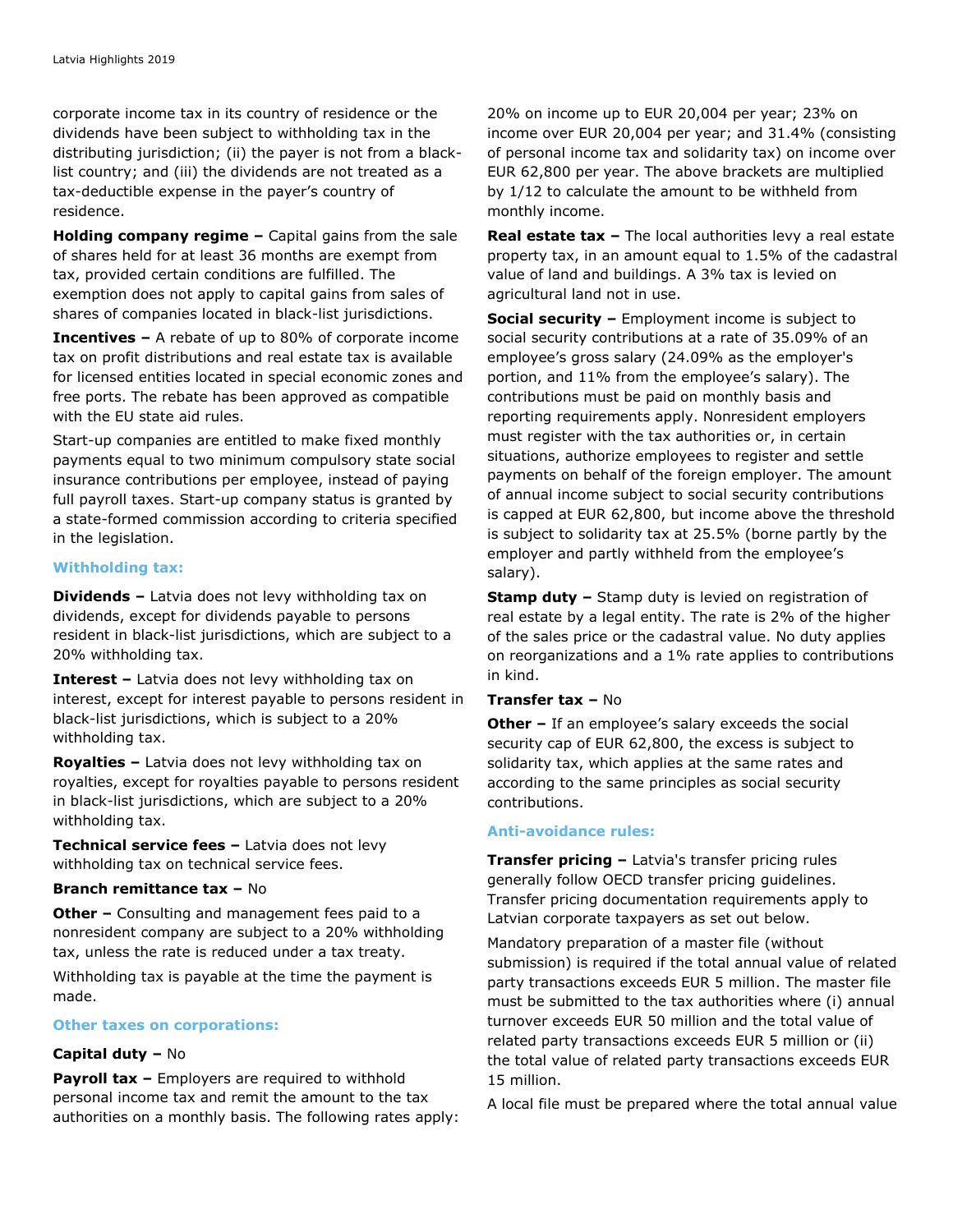corporate income tax in its country of residence or the dividends have been subject to withholding tax in the distributing jurisdiction; (ii) the payer is not from a blacklist country; and (iii) the dividends are not treated as a tax-deductible expense in the payer's country of residence.

**Holding company regime –** Capital gains from the sale of shares held for at least 36 months are exempt from tax, provided certain conditions are fulfilled. The exemption does not apply to capital gains from sales of shares of companies located in black-list jurisdictions.

**Incentives –** A rebate of up to 80% of corporate income tax on profit distributions and real estate tax is available for licensed entities located in special economic zones and free ports. The rebate has been approved as compatible with the EU state aid rules.

Start-up companies are entitled to make fixed monthly payments equal to two minimum compulsory state social insurance contributions per employee, instead of paying full payroll taxes. Start-up company status is granted by a state-formed commission according to criteria specified in the legislation.

#### **Withholding tax:**

**Dividends –** Latvia does not levy withholding tax on dividends, except for dividends payable to persons resident in black-list jurisdictions, which are subject to a 20% withholding tax.

**Interest –** Latvia does not levy withholding tax on interest, except for interest payable to persons resident in black-list jurisdictions, which is subject to a 20% withholding tax.

**Royalties –** Latvia does not levy withholding tax on royalties, except for royalties payable to persons resident in black-list jurisdictions, which are subject to a 20% withholding tax.

**Technical service fees –** Latvia does not levy withholding tax on technical service fees.

### **Branch remittance tax –** No

**Other –** Consulting and management fees paid to a nonresident company are subject to a 20% withholding tax, unless the rate is reduced under a tax treaty.

Withholding tax is payable at the time the payment is made.

#### **Other taxes on corporations:**

#### **Capital duty –** No

**Payroll tax –** Employers are required to withhold personal income tax and remit the amount to the tax authorities on a monthly basis. The following rates apply: 20% on income up to EUR 20,004 per year; 23% on income over EUR 20,004 per year; and 31.4% (consisting of personal income tax and solidarity tax) on income over EUR 62,800 per year. The above brackets are multiplied by 1/12 to calculate the amount to be withheld from monthly income.

**Real estate tax –** The local authorities levy a real estate property tax, in an amount equal to 1.5% of the cadastral value of land and buildings. A 3% tax is levied on agricultural land not in use.

**Social security –** Employment income is subject to social security contributions at a rate of 35.09% of an employee's gross salary (24.09% as the employer's portion, and 11% from the employee's salary). The contributions must be paid on monthly basis and reporting requirements apply. Nonresident employers must register with the tax authorities or, in certain situations, authorize employees to register and settle payments on behalf of the foreign employer. The amount of annual income subject to social security contributions is capped at EUR 62,800, but income above the threshold is subject to solidarity tax at 25.5% (borne partly by the employer and partly withheld from the employee's salary).

**Stamp duty –** Stamp duty is levied on registration of real estate by a legal entity. The rate is 2% of the higher of the sales price or the cadastral value. No duty applies on reorganizations and a 1% rate applies to contributions in kind.

#### **Transfer tax –** No

**Other –** If an employee's salary exceeds the social security cap of EUR 62,800, the excess is subject to solidarity tax, which applies at the same rates and according to the same principles as social security contributions.

#### **Anti-avoidance rules:**

**Transfer pricing –** Latvia's transfer pricing rules generally follow OECD transfer pricing guidelines. Transfer pricing documentation requirements apply to Latvian corporate taxpayers as set out below.

Mandatory preparation of a master file (without submission) is required if the total annual value of related party transactions exceeds EUR 5 million. The master file must be submitted to the tax authorities where (i) annual turnover exceeds EUR 50 million and the total value of related party transactions exceeds EUR 5 million or (ii) the total value of related party transactions exceeds EUR 15 million.

A local file must be prepared where the total annual value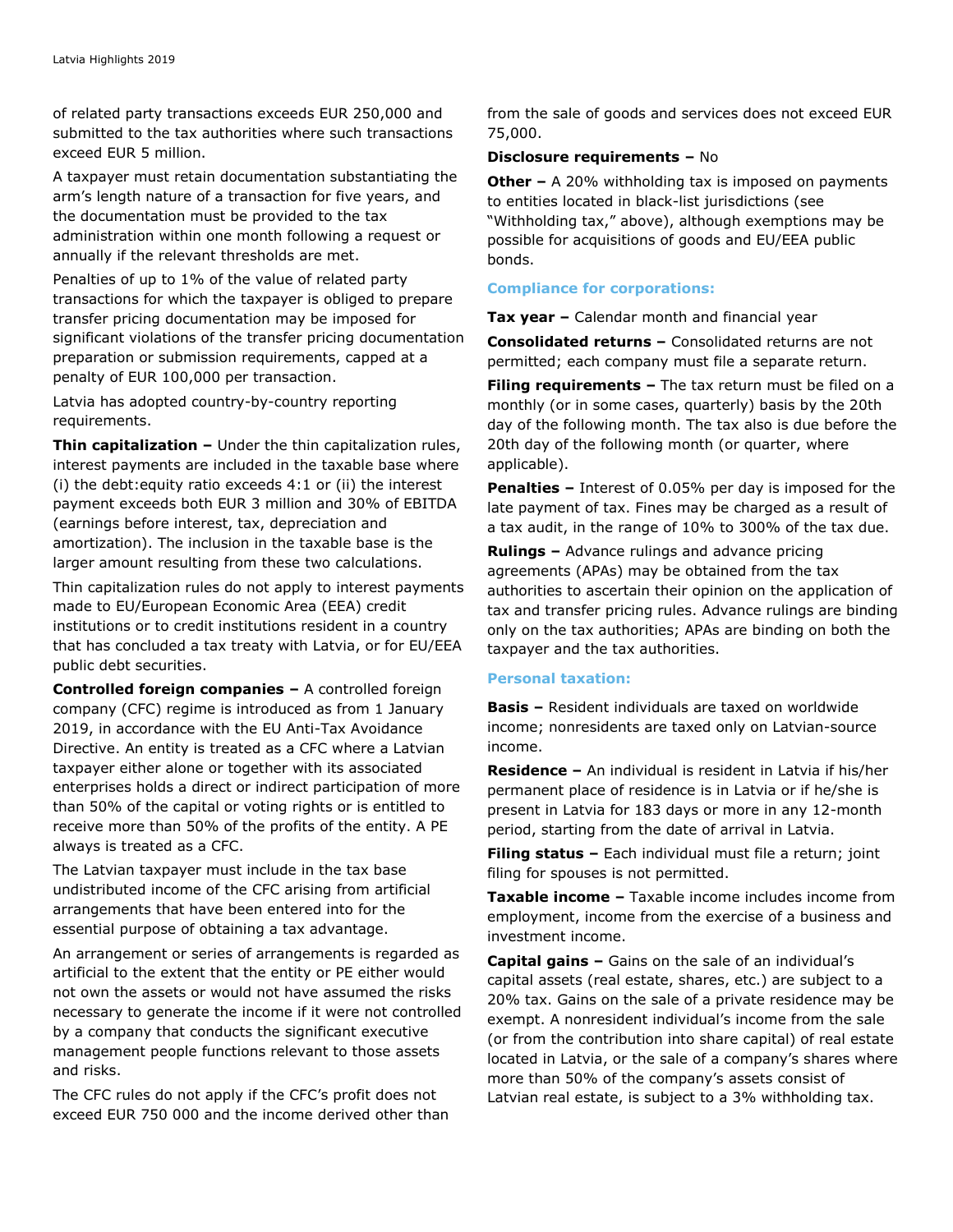of related party transactions exceeds EUR 250,000 and submitted to the tax authorities where such transactions exceed EUR 5 million.

A taxpayer must retain documentation substantiating the arm's length nature of a transaction for five years, and the documentation must be provided to the tax administration within one month following a request or annually if the relevant thresholds are met.

Penalties of up to 1% of the value of related party transactions for which the taxpayer is obliged to prepare transfer pricing documentation may be imposed for significant violations of the transfer pricing documentation preparation or submission requirements, capped at a penalty of EUR 100,000 per transaction.

Latvia has adopted country-by-country reporting requirements.

**Thin capitalization –** Under the thin capitalization rules, interest payments are included in the taxable base where (i) the debt:equity ratio exceeds 4:1 or (ii) the interest payment exceeds both EUR 3 million and 30% of EBITDA (earnings before interest, tax, depreciation and amortization). The inclusion in the taxable base is the larger amount resulting from these two calculations.

Thin capitalization rules do not apply to interest payments made to EU/European Economic Area (EEA) credit institutions or to credit institutions resident in a country that has concluded a tax treaty with Latvia, or for EU/EEA public debt securities.

**Controlled foreign companies –** A controlled foreign company (CFC) regime is introduced as from 1 January 2019, in accordance with the EU Anti-Tax Avoidance Directive. An entity is treated as a CFC where a Latvian taxpayer either alone or together with its associated enterprises holds a direct or indirect participation of more than 50% of the capital or voting rights or is entitled to receive more than 50% of the profits of the entity. A PE always is treated as a CFC.

The Latvian taxpayer must include in the tax base undistributed income of the CFC arising from artificial arrangements that have been entered into for the essential purpose of obtaining a tax advantage.

An arrangement or series of arrangements is regarded as artificial to the extent that the entity or PE either would not own the assets or would not have assumed the risks necessary to generate the income if it were not controlled by a company that conducts the significant executive management people functions relevant to those assets and risks.

The CFC rules do not apply if the CFC's profit does not exceed EUR 750 000 and the income derived other than from the sale of goods and services does not exceed EUR 75,000.

#### **Disclosure requirements –** No

**Other –** A 20% withholding tax is imposed on payments to entities located in black-list jurisdictions (see "Withholding tax," above), although exemptions may be possible for acquisitions of goods and EU/EEA public bonds.

## **Compliance for corporations:**

**Tax year –** Calendar month and financial year

**Consolidated returns –** Consolidated returns are not permitted; each company must file a separate return.

**Filing requirements –** The tax return must be filed on a monthly (or in some cases, quarterly) basis by the 20th day of the following month. The tax also is due before the 20th day of the following month (or quarter, where applicable).

**Penalties –** Interest of 0.05% per day is imposed for the late payment of tax. Fines may be charged as a result of a tax audit, in the range of 10% to 300% of the tax due.

**Rulings –** Advance rulings and advance pricing agreements (APAs) may be obtained from the tax authorities to ascertain their opinion on the application of tax and transfer pricing rules. Advance rulings are binding only on the tax authorities; APAs are binding on both the taxpayer and the tax authorities.

#### **Personal taxation:**

**Basis –** Resident individuals are taxed on worldwide income; nonresidents are taxed only on Latvian-source income.

**Residence –** An individual is resident in Latvia if his/her permanent place of residence is in Latvia or if he/she is present in Latvia for 183 days or more in any 12-month period, starting from the date of arrival in Latvia.

**Filing status –** Each individual must file a return; joint filing for spouses is not permitted.

**Taxable income –** Taxable income includes income from employment, income from the exercise of a business and investment income.

**Capital gains –** Gains on the sale of an individual's capital assets (real estate, shares, etc.) are subject to a 20% tax. Gains on the sale of a private residence may be exempt. A nonresident individual's income from the sale (or from the contribution into share capital) of real estate located in Latvia, or the sale of a company's shares where more than 50% of the company's assets consist of Latvian real estate, is subject to a 3% withholding tax.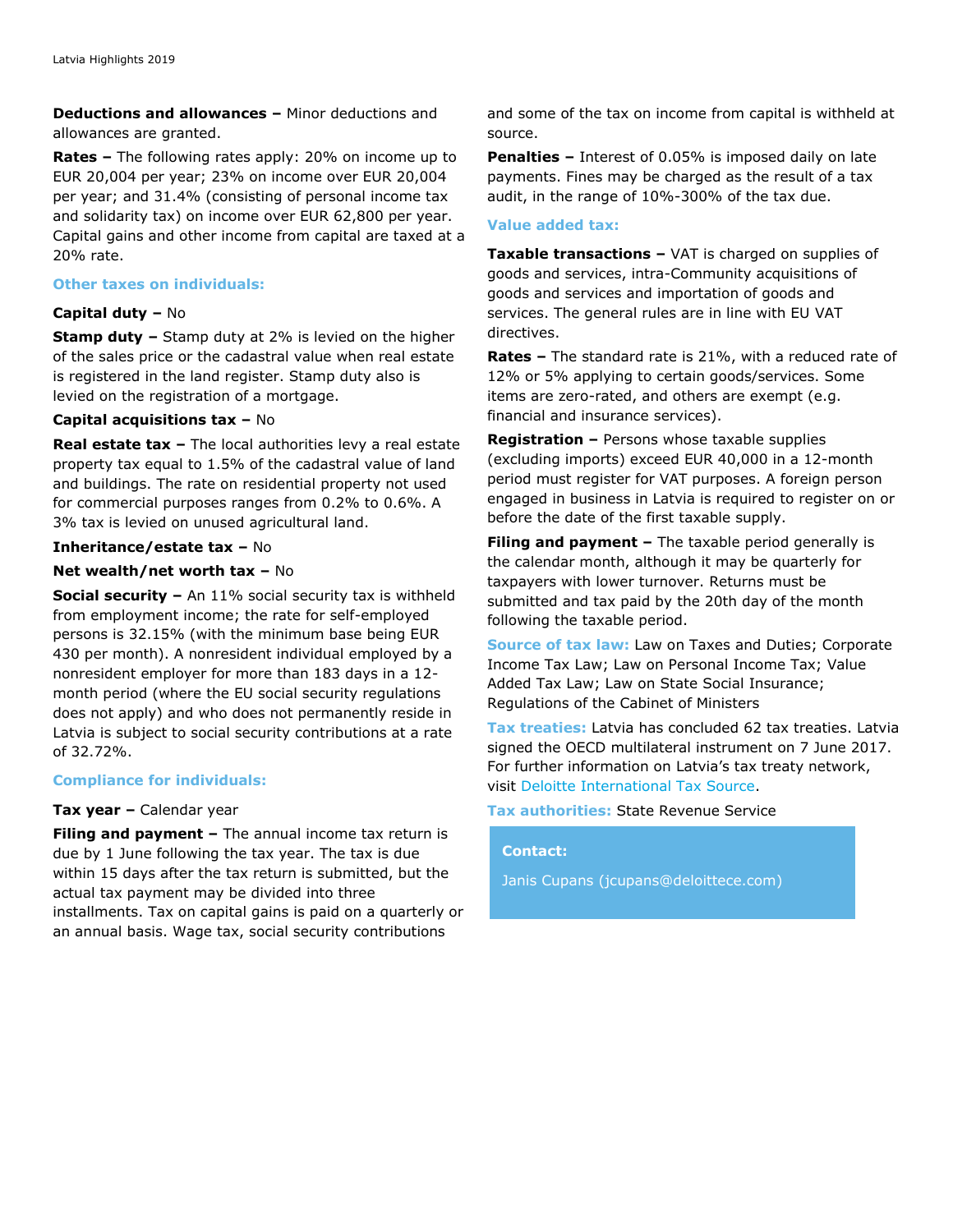**Deductions and allowances –** Minor deductions and allowances are granted.

**Rates –** The following rates apply: 20% on income up to EUR 20,004 per year; 23% on income over EUR 20,004 per year; and 31.4% (consisting of personal income tax and solidarity tax) on income over EUR 62,800 per year. Capital gains and other income from capital are taxed at a 20% rate.

#### **Other taxes on individuals:**

#### **Capital duty –** No

**Stamp duty –** Stamp duty at 2% is levied on the higher of the sales price or the cadastral value when real estate is registered in the land register. Stamp duty also is levied on the registration of a mortgage.

#### **Capital acquisitions tax –** No

**Real estate tax –** The local authorities levy a real estate property tax equal to 1.5% of the cadastral value of land and buildings. The rate on residential property not used for commercial purposes ranges from 0.2% to 0.6%. A 3% tax is levied on unused agricultural land.

#### **Inheritance/estate tax –** No

#### **Net wealth/net worth tax –** No

**Social security –** An 11% social security tax is withheld from employment income; the rate for self-employed persons is 32.15% (with the minimum base being EUR 430 per month). A nonresident individual employed by a nonresident employer for more than 183 days in a 12 month period (where the EU social security regulations does not apply) and who does not permanently reside in Latvia is subject to social security contributions at a rate of 32.72%.

# **Compliance for individuals:**

#### **Tax year –** Calendar year

**Filing and payment –** The annual income tax return is due by 1 June following the tax year. The tax is due within 15 days after the tax return is submitted, but the actual tax payment may be divided into three installments. Tax on capital gains is paid on a quarterly or an annual basis. Wage tax, social security contributions

and some of the tax on income from capital is withheld at source.

**Penalties –** Interest of 0.05% is imposed daily on late payments. Fines may be charged as the result of a tax audit, in the range of 10%-300% of the tax due.

#### **Value added tax:**

**Taxable transactions –** VAT is charged on supplies of goods and services, intra-Community acquisitions of goods and services and importation of goods and services. The general rules are in line with EU VAT directives.

**Rates –** The standard rate is 21%, with a reduced rate of 12% or 5% applying to certain goods/services. Some items are zero-rated, and others are exempt (e.g. financial and insurance services).

**Registration –** Persons whose taxable supplies (excluding imports) exceed EUR 40,000 in a 12-month period must register for VAT purposes. A foreign person engaged in business in Latvia is required to register on or before the date of the first taxable supply.

**Filing and payment –** The taxable period generally is the calendar month, although it may be quarterly for taxpayers with lower turnover. Returns must be submitted and tax paid by the 20th day of the month following the taxable period.

**Source of tax law:** Law on Taxes and Duties; Corporate Income Tax Law; Law on Personal Income Tax; Value Added Tax Law; Law on State Social Insurance; Regulations of the Cabinet of Ministers

**Tax treaties:** Latvia has concluded 62 tax treaties. Latvia signed the OECD multilateral instrument on 7 June 2017. For further information on Latvia's tax treaty network, visit [Deloitte International Tax Source.](https://dits.deloitte.com/#Jurisdiction/72)

# **Tax authorities:** State Revenue Service

#### **Contact:**

Janis Cupans [\(jcupans@deloittece.com\)](mailto:jcupans@deloittece.com)